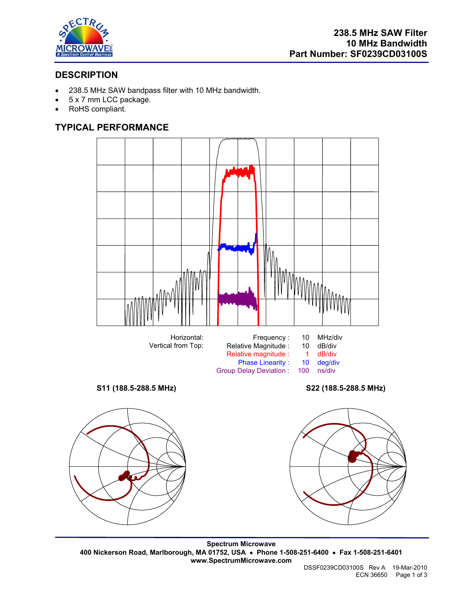

# **DESCRIPTION**

- 238.5 MHz SAW bandpass filter with 10 MHz bandwidth.
- 5 x 7 mm LCC package.
- RoHS compliant.

# **TYPICAL PERFORMANCE**



Group Delay Deviation :

**S11 (188.5-288.5 MHz) S22 (188.5-288.5 MHz)** 





**Spectrum Microwave 400 Nickerson Road, Marlborough, MA 01752, USA** • **Phone 1-508-251-6400** • **Fax 1-508-251-6401 www.SpectrumMicrowave.com**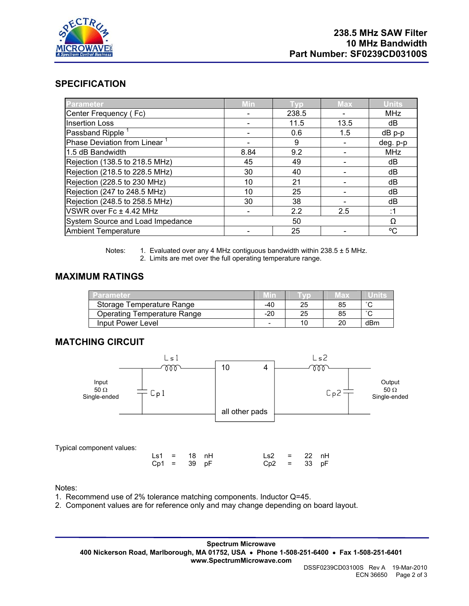

## **SPECIFICATION**

| Parameter                        | Min  | I vp  | <b>Max</b> | <b>Units</b> |
|----------------------------------|------|-------|------------|--------------|
| Center Frequency (Fc)            |      | 238.5 |            | <b>MHz</b>   |
| <b>Insertion Loss</b>            |      | 11.5  | 13.5       | dB           |
| Passband Ripple <sup>1</sup>     |      | 0.6   | 1.5        | $dB$ p-p     |
| Phase Deviation from Linear      |      | 9     |            | deg. p-p     |
| 1.5 dB Bandwidth                 | 8.84 | 9.2   |            | MHz          |
| Rejection (138.5 to 218.5 MHz)   | 45   | 49    |            | dB           |
| Rejection (218.5 to 228.5 MHz)   | 30   | 40    |            | dB           |
| Rejection (228.5 to 230 MHz)     | 10   | 21    |            | dB           |
| Rejection (247 to 248.5 MHz)     | 10   | 25    |            | dB           |
| Rejection (248.5 to 258.5 MHz)   | 30   | 38    |            | dB           |
| VSWR over Fc ± 4.42 MHz          |      | 2.2   | 2.5        | :1           |
| System Source and Load Impedance |      | Ω     |            |              |
| <b>Ambient Temperature</b>       |      | 25    |            | °C           |

Notes: 1. Evaluated over any 4 MHz contiguous bandwidth within  $238.5 \pm 5$  MHz. 2. Limits are met over the full operating temperature range.

#### **MAXIMUM RATINGS**

| Parameter                          |       |    | lax |        |
|------------------------------------|-------|----|-----|--------|
| Storage Temperature Range          | -40   | 25 | 85  | $\sim$ |
| <b>Operating Temperature Range</b> | $-20$ | 25 | 85  | $\sim$ |
| Input Power Level                  | -     |    | 20  | dBm    |

### **MATCHING CIRCUIT**



Notes:

- 1. Recommend use of 2% tolerance matching components. Inductor Q=45.
- 2. Component values are for reference only and may change depending on board layout.

**Spectrum Microwave 400 Nickerson Road, Marlborough, MA 01752, USA** • **Phone 1-508-251-6400** • **Fax 1-508-251-6401 www.SpectrumMicrowave.com**